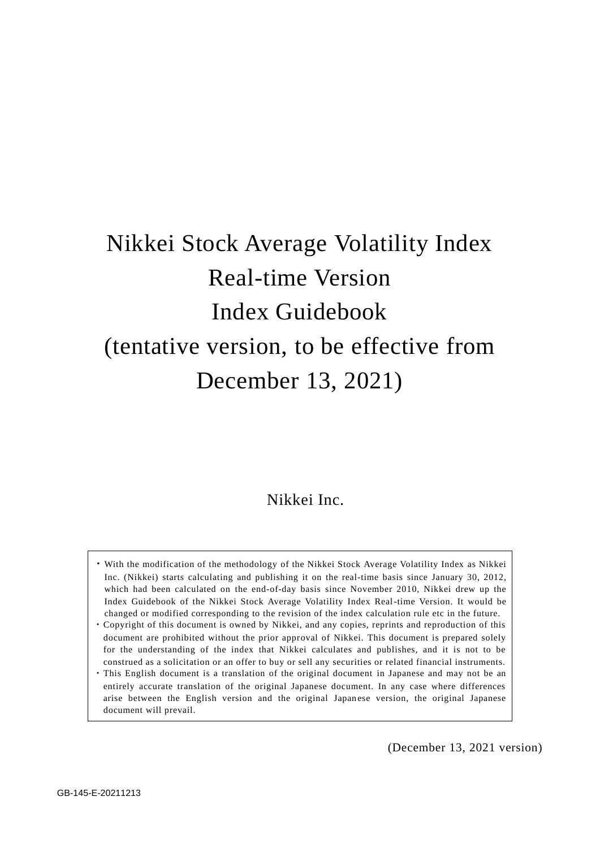# Nikkei Stock Average Volatility Index Real-time Version Index Guidebook (tentative version, to be effective from December 13, 2021)

## Nikkei Inc.

- ・With the modification of the methodology of the Nikkei Stock Average Volatility Index as Nikkei Inc. (Nikkei) starts calculating and publishing it on the real-time basis since January 30, 2012, which had been calculated on the end-of-day basis since November 2010, Nikkei drew up the Index Guidebook of the Nikkei Stock Average Volatility Index Real-time Version. It would be changed or modified corresponding to the revision of the index calculation rule etc in the future.
- ・Copyright of this document is owned by Nikkei, and any copies, reprints and reproduction of this document are prohibited without the prior approval of Nikkei. This document is prepared solely for the understanding of the index that Nikkei calculates and publishes, and it is not to be construed as a solicitation or an offer to buy or sell any securities or related financial instruments.
- ・This English document is a translation of the original document in Japanese and may not be an entirely accurate translation of the original Japanese document. In any case where differences arise between the English version and the original Japan ese version, the original Japanese document will prevail.

(December 13, 2021 version)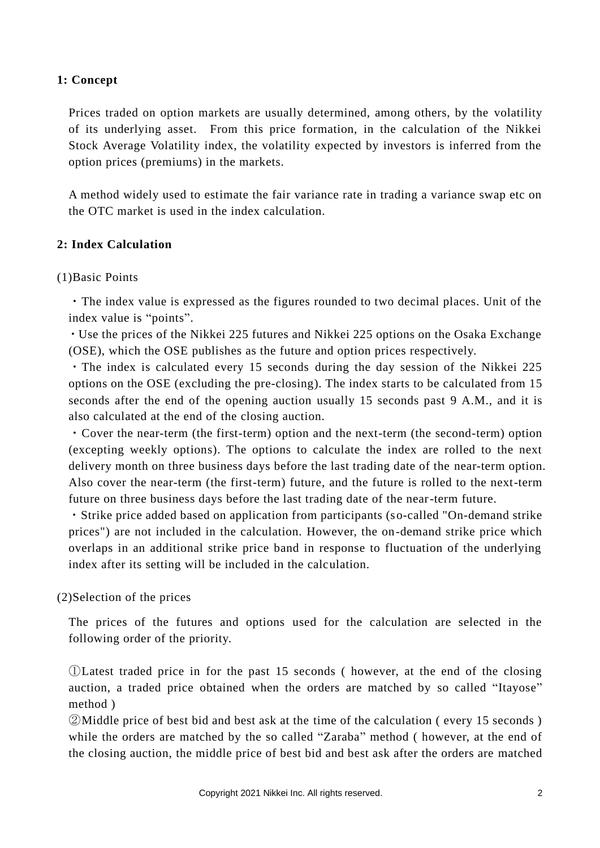## **1: Concept**

Prices traded on option markets are usually determined, among others, by the volatility of its underlying asset. From this price formation, in the calculation of the Nikkei Stock Average Volatility index, the volatility expected by investors is inferred from the option prices (premiums) in the markets.

A method widely used to estimate the fair variance rate in trading a variance swap etc on the OTC market is used in the index calculation.

## **2: Index Calculation**

## (1)Basic Points

・The index value is expressed as the figures rounded to two decimal places. Unit of the index value is "points".

・Use the prices of the Nikkei 225 futures and Nikkei 225 options on the Osaka Exchange (OSE), which the OSE publishes as the future and option prices respectively.

・The index is calculated every 15 seconds during the day session of the Nikkei 225 options on the OSE (excluding the pre-closing). The index starts to be calculated from 15 seconds after the end of the opening auction usually 15 seconds past 9 A.M., and it is also calculated at the end of the closing auction.

・Cover the near-term (the first-term) option and the next-term (the second-term) option (excepting weekly options). The options to calculate the index are rolled to the next delivery month on three business days before the last trading date of the near-term option. Also cover the near-term (the first-term) future, and the future is rolled to the next-term future on three business days before the last trading date of the near-term future.

・Strike price added based on application from participants (so-called "On-demand strike prices") are not included in the calculation. However, the on-demand strike price which overlaps in an additional strike price band in response to fluctuation of the underlying index after its setting will be included in the calculation.

## (2)Selection of the prices

The prices of the futures and options used for the calculation are selected in the following order of the priority.

①Latest traded price in for the past 15 seconds ( however, at the end of the closing auction, a traded price obtained when the orders are matched by so called "Itayose" method )

②Middle price of best bid and best ask at the time of the calculation ( every 15 seconds ) while the orders are matched by the so called "Zaraba" method ( however, at the end of the closing auction, the middle price of best bid and best ask after the orders are matched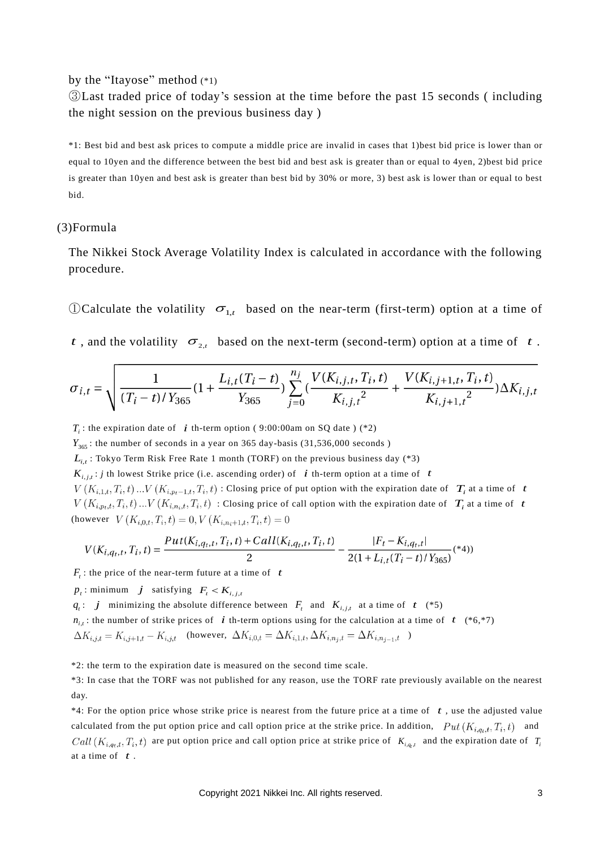by the "Itayose" method (\*1)

③Last traded price of today's session at the time before the past 15 seconds ( including the night session on the previous business day )

\*1: Best bid and best ask prices to compute a middle price are invalid in cases that 1)best bid price is lower than or equal to 10yen and the difference between the best bid and best ask is greater than or equal to 4yen, 2)best bid price is greater than 10yen and best ask is greater than best bid by 30% or more, 3) best ask is lower than or equal to best bid.

#### (3)Formula

The Nikkei Stock Average Volatility Index is calculated in accordance with the following procedure.

 $\mathbb{O}$ Calculate the volatility  $\sigma_{1,t}$  based on the near-term (first-term) option at a time of

*t*, and the volatility  $\sigma_{2,t}$  based on the next-term (second-term) option at a time of *t*.

$$
\sigma_{i,t} = \sqrt{\frac{1}{(T_i - t)/Y_{365}} (1 + \frac{L_{i,t}(T_i - t)}{Y_{365}}) \sum_{j=0}^{n_j} (\frac{V(K_{i,j,t}, T_i, t)}{K_{i,j,t}^2} + \frac{V(K_{i,j+1,t}, T_i, t)}{K_{i,j+1,t}^2}) \Delta K_{i,j,t}}
$$

*T<sub>i</sub>*: the expiration date of *i* th-term option (9:00:00am on SQ date ) (\*2)

 $Y_{365}$ : the number of seconds in a year on 365 day-basis (31,536,000 seconds)

 $L_{i,t}$ : Tokyo Term Risk Free Rate 1 month (TORF) on the previous business day (\*3)

 $K_{i,j,t}$ : *j* th lowest Strike price (i.e. ascending order) of  $i$  th-term option at a time of  $t$ 

 $\chi_{1,t}, T_i, t$ ) ...  $V(K_{i,p_t-1,t}, T_i, t)$ : Closing price of put option with the expiration date of  $T_i$  at a time of  $t$  $V(K_{i,p_t,t}, T_i, t) ... V(K_{i,n_i,t}, T_i, t)$ : Closing price of call option with the expiration date of  $T_i$  at a time of to (however  $V(K_{i,0,t}, T_i, t) = 0, V(K_{i,n_i+1,t}, T_i, t) = 0$ 

$$
V(K_{i,q_t,t}, T_i, t) = \frac{Put(K_{i,q_t,t}, T_i, t) + Call(K_{i,q_t,t}, T_i, t)}{2} - \frac{|F_t - K_{i,q_t,t}|}{2(1 + L_{i,t}(T_i - t)/Y_{365})} (*)
$$

 $F_t$ : the price of the near-term future at a time of  $t$ 

 $p_t$ : minimum *j* satisfying  $F_t < K_{i,j,t}$ 

*q*<sub>t</sub>: *j* minimizing the absolute difference between  $F_t$  and  $K_{i,j,t}$  at a time of t (\*5)

 $n_{i,t}$ : the number of strike prices of *i* th-term options using for the calculation at a time of *t* (\*6,\*7)

 $\Delta K_{i,j,t} = K_{i,j+1,t} - K_{i,j,t}$  (however,  $\Delta K_{i,0,t} = \Delta K_{i,1,t}, \Delta K_{i,n,j,t} = \Delta K_{i,n,j-1,t}$ )

\*2: the term to the expiration date is measured on the second time scale.

\*3: In case that the TORF was not published for any reason, use the TORF rate previously available on the nearest day.

 $*4$ : For the option price whose strike price is nearest from the future price at a time of  $t$ , use the adjusted value calculated from the put option price and call option price at the strike price. In addition,  $Put(K_{i,q_t,t},T_i,t)$  and are put option price and call option price at strike price of  $K_{i,q,t}$  and the expiration date of  $T_i$ at a time of *<sup>t</sup>* .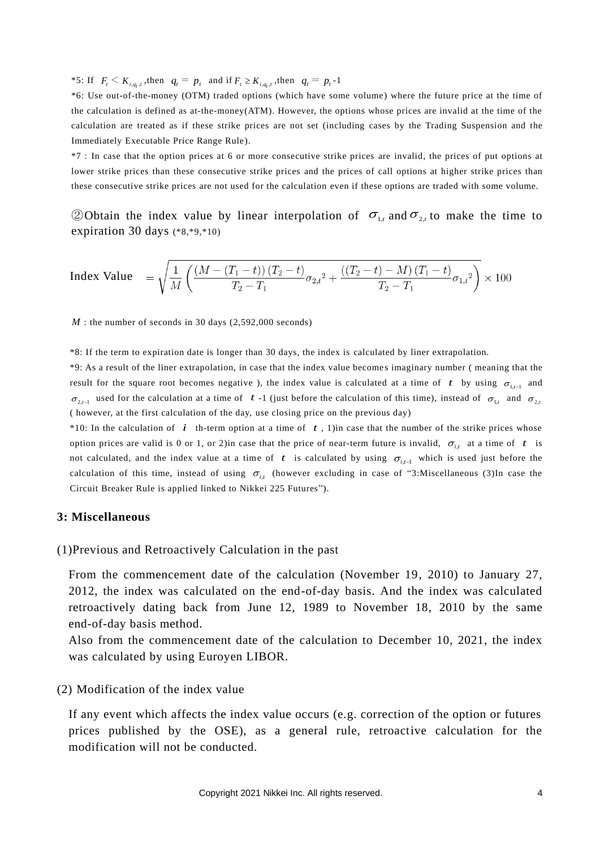\*5: If  $F_t \le K_{i,q_t,t}$ , then  $q_t = p_t$  and if  $F_t \ge K_{i,q_t,t}$ , then  $q_t = p_t - 1$ 

\*6: Use out-of-the-money (OTM) traded options (which have some volume) where the future price at the time of the calculation is defined as at-the-money(ATM). However, the options whose prices are invalid at the time of the calculation are treated as if these strike prices are not set (including cases by the Trading Suspension and the Immediately Executable Price Range Rule).

\*7:In case that the option prices at 6 or more consecutive strike prices are invalid, the prices of put options at lower strike prices than these consecutive strike prices and the prices of call options at higher strike prices than these consecutive strike prices are not used for the calculation even if these options are traded with some volume.

20btain the index value by linear interpolation of  $\sigma_{1,t}$  and  $\sigma_{2,t}$  to make the time to expiration 30 days (\*8,\*9,\*10)

$$
\text{Index Value} = \sqrt{\frac{1}{M} \left( \frac{(M - (T_1 - t)) (T_2 - t)}{T_2 - T_1} \sigma_{2,t}^2 + \frac{((T_2 - t) - M) (T_1 - t)}{T_2 - T_1} \sigma_{1,t}^2 \right)} \times 100
$$

*M*: the number of seconds in 30 days (2,592,000 seconds)

\*8: If the term to expiration date is longer than 30 days, the index is calculated by liner extrapolation.

\*9: As a result of the liner extrapolation, in case that the index value become s imaginary number ( meaning that the result for the square root becomes negative), the index value is calculated at a time of  $t$  by using  $\sigma_{1,t-1}$  and  $\sigma_{2,t-1}$  used for the calculation at a time of t -1 (just before the calculation of this time), instead of  $\sigma_{1,t}$  and  $\sigma_{2,t}$ ( however, at the first calculation of the day, use closing price on the previous day)

 $*10$ : In the calculation of *i* th-term option at a time of *t*, 1) in case that the number of the strike prices whose option prices are valid is 0 or 1, or 2) in case that the price of near-term future is invalid,  $\sigma_{i,t}$  at a time of t is not calculated, and the index value at a time of  $t$  is calculated by using  $\sigma_{i,t-1}$  which is used just before the calculation of this time, instead of using  $\sigma_{i,j}$  (however excluding in case of "3:Miscellaneous (3)In case the Circuit Breaker Rule is applied linked to Nikkei 225 Futures").

#### **3: Miscellaneous**

(1)Previous and Retroactively Calculation in the past

From the commencement date of the calculation (November 19, 2010) to January 27, 2012, the index was calculated on the end-of-day basis. And the index was calculated retroactively dating back from June 12, 1989 to November 18, 2010 by the same end-of-day basis method.

Also from the commencement date of the calculation to December 10, 2021, the index was calculated by using Euroyen LIBOR.

#### (2) Modification of the index value

If any event which affects the index value occurs (e.g. correction of the option or futures prices published by the OSE), as a general rule, retroactive calculation for the modification will not be conducted.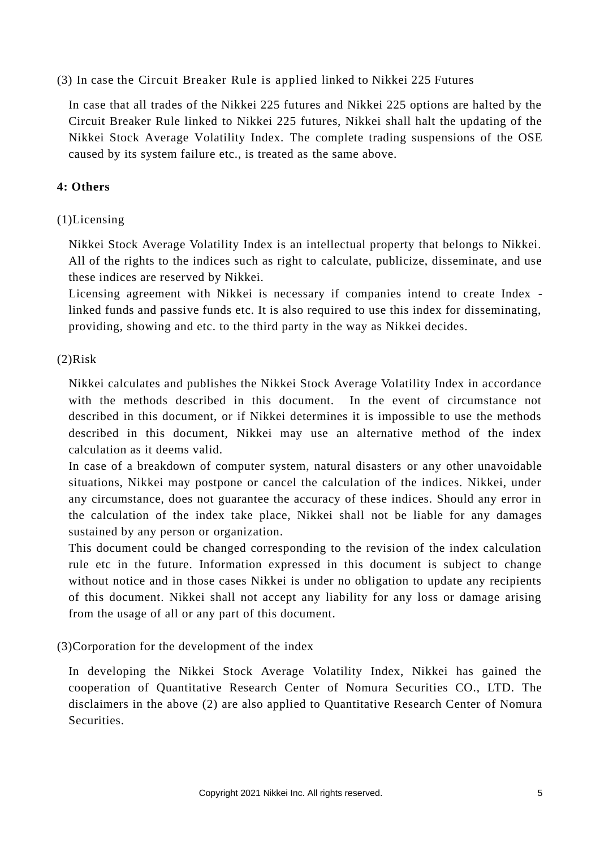## (3) In case the Circuit Breaker Rule is applied linked to Nikkei 225 Futures

In case that all trades of the Nikkei 225 futures and Nikkei 225 options are halted by the Circuit Breaker Rule linked to Nikkei 225 futures, Nikkei shall halt the updating of the Nikkei Stock Average Volatility Index. The complete trading suspensions of the OSE caused by its system failure etc., is treated as the same above.

## **4: Others**

## (1)Licensing

Nikkei Stock Average Volatility Index is an intellectual property that belongs to Nikkei. All of the rights to the indices such as right to calculate, publicize, disseminate, and use these indices are reserved by Nikkei.

Licensing agreement with Nikkei is necessary if companies intend to create Index linked funds and passive funds etc. It is also required to use this index for disseminating, providing, showing and etc. to the third party in the way as Nikkei decides.

## (2)Risk

Nikkei calculates and publishes the Nikkei Stock Average Volatility Index in accordance with the methods described in this document. In the event of circumstance not described in this document, or if Nikkei determines it is impossible to use the methods described in this document, Nikkei may use an alternative method of the index calculation as it deems valid.

In case of a breakdown of computer system, natural disasters or any other unavoidable situations, Nikkei may postpone or cancel the calculation of the indices. Nikkei, under any circumstance, does not guarantee the accuracy of these indices. Should any error in the calculation of the index take place, Nikkei shall not be liable for any damages sustained by any person or organization.

This document could be changed corresponding to the revision of the index calculation rule etc in the future. Information expressed in this document is subject to change without notice and in those cases Nikkei is under no obligation to update any recipients of this document. Nikkei shall not accept any liability for any loss or damage arising from the usage of all or any part of this document.

## (3)Corporation for the development of the index

In developing the Nikkei Stock Average Volatility Index, Nikkei has gained the cooperation of Quantitative Research Center of Nomura Securities CO., LTD. The disclaimers in the above (2) are also applied to Quantitative Research Center of Nomura Securities.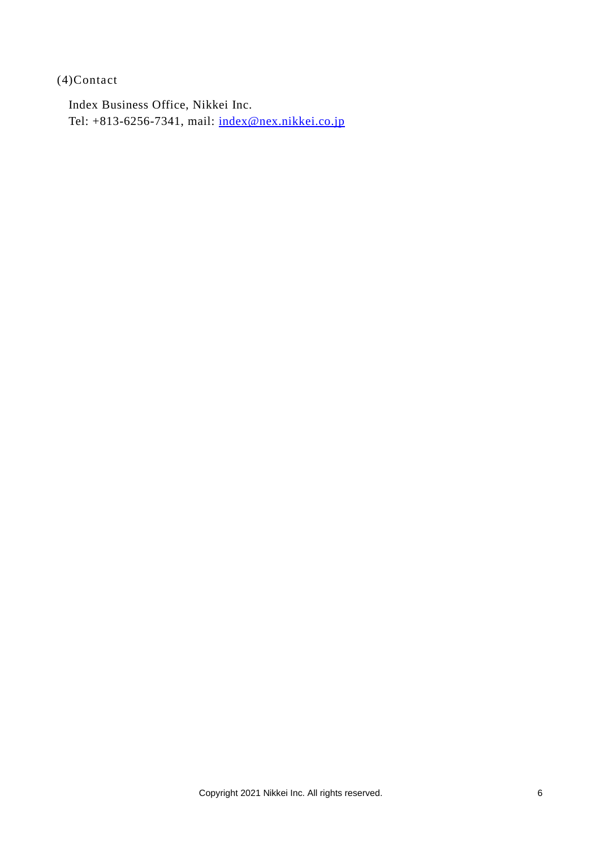(4)Contact

Index Business Office, Nikkei Inc. Tel: +813-6256-7341, mail: [index@nex.nikkei.co.jp](mailto:index@nex.nikkei.co.jp)